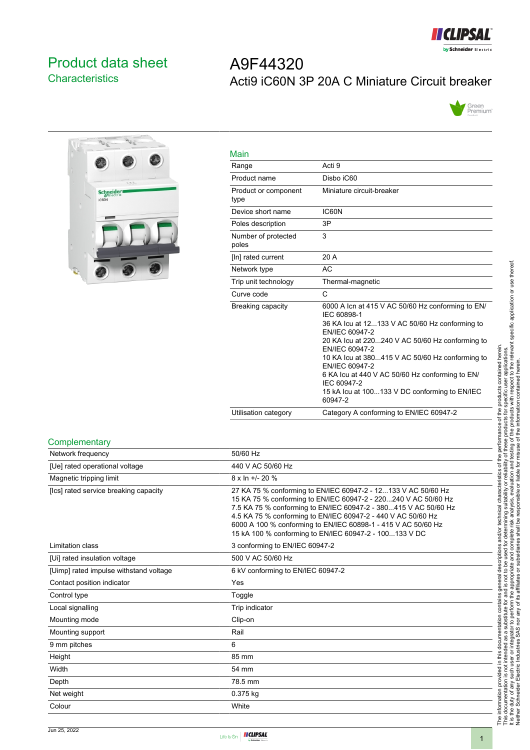

## <span id="page-0-0"></span>Product data sheet **Characteristics**

# $\overline{P_{\text{U}_1}}$  $\overline{v}$ Schneider

| A9F44320 |                                                |  |
|----------|------------------------------------------------|--|
|          | Acti9 iC60N 3P 20A C Miniature Circuit breaker |  |



| Main                         |                                                                                                                                                                                                                                                                                                                                                                                                              |
|------------------------------|--------------------------------------------------------------------------------------------------------------------------------------------------------------------------------------------------------------------------------------------------------------------------------------------------------------------------------------------------------------------------------------------------------------|
| Range                        | Acti 9                                                                                                                                                                                                                                                                                                                                                                                                       |
| Product name                 | Disbo iC60                                                                                                                                                                                                                                                                                                                                                                                                   |
| Product or component<br>type | Miniature circuit-breaker                                                                                                                                                                                                                                                                                                                                                                                    |
| Device short name            | IC60N                                                                                                                                                                                                                                                                                                                                                                                                        |
| Poles description            | 3P                                                                                                                                                                                                                                                                                                                                                                                                           |
| Number of protected<br>poles | 3                                                                                                                                                                                                                                                                                                                                                                                                            |
| [In] rated current           | 20 A                                                                                                                                                                                                                                                                                                                                                                                                         |
| Network type                 | AC                                                                                                                                                                                                                                                                                                                                                                                                           |
| Trip unit technology         | Thermal-magnetic                                                                                                                                                                                                                                                                                                                                                                                             |
| Curve code                   | C                                                                                                                                                                                                                                                                                                                                                                                                            |
| Breaking capacity            | 6000 A Icn at 415 V AC 50/60 Hz conforming to EN/<br>IEC 60898-1<br>36 KA Icu at 12133 V AC 50/60 Hz conforming to<br>EN/IEC 60947-2<br>20 KA Icu at 220240 V AC 50/60 Hz conforming to<br>EN/IEC 60947-2<br>10 KA Icu at 380415 V AC 50/60 Hz conforming to<br>EN/IEC 60947-2<br>6 KA Icu at 440 V AC 50/60 Hz conforming to EN/<br>IEC 60947-2<br>15 kA lcu at 100133 V DC conforming to EN/IEC<br>60947-2 |
| Utilisation category         | Category A conforming to EN/IEC 60947-2                                                                                                                                                                                                                                                                                                                                                                      |

#### **Complementary**

| Network frequency                      | 50/60 Hz                                                                                                                                                                                                                                                                                                                                                                                      |
|----------------------------------------|-----------------------------------------------------------------------------------------------------------------------------------------------------------------------------------------------------------------------------------------------------------------------------------------------------------------------------------------------------------------------------------------------|
| [Ue] rated operational voltage         | 440 V AC 50/60 Hz                                                                                                                                                                                                                                                                                                                                                                             |
| Magnetic tripping limit                | $8 \times \ln +1$ - 20 %                                                                                                                                                                                                                                                                                                                                                                      |
| [Ics] rated service breaking capacity  | 27 KA 75 % conforming to EN/IEC 60947-2 - 12133 V AC 50/60 Hz<br>15 KA 75 % conforming to EN/IEC 60947-2 - 220240 V AC 50/60 Hz<br>7.5 KA 75 % conforming to EN/IEC 60947-2 - 380415 V AC 50/60 Hz<br>4.5 KA 75 % conforming to EN/IEC 60947-2 - 440 V AC 50/60 Hz<br>6000 A 100 % conforming to EN/IEC 60898-1 - 415 V AC 50/60 Hz<br>15 kA 100 % conforming to EN/IEC 60947-2 - 100133 V DC |
| Limitation class                       | 3 conforming to EN/IEC 60947-2                                                                                                                                                                                                                                                                                                                                                                |
| [Ui] rated insulation voltage          | 500 V AC 50/60 Hz                                                                                                                                                                                                                                                                                                                                                                             |
| [Uimp] rated impulse withstand voltage | 6 kV conforming to EN/IEC 60947-2                                                                                                                                                                                                                                                                                                                                                             |
| Contact position indicator             | Yes                                                                                                                                                                                                                                                                                                                                                                                           |
| Control type                           | Toggle                                                                                                                                                                                                                                                                                                                                                                                        |
| Local signalling                       | Trip indicator                                                                                                                                                                                                                                                                                                                                                                                |
| Mounting mode                          | Clip-on                                                                                                                                                                                                                                                                                                                                                                                       |
| Mounting support                       | Rail                                                                                                                                                                                                                                                                                                                                                                                          |
| 9 mm pitches                           | 6                                                                                                                                                                                                                                                                                                                                                                                             |
| Height                                 | 85 mm                                                                                                                                                                                                                                                                                                                                                                                         |
| Width                                  | 54 mm                                                                                                                                                                                                                                                                                                                                                                                         |
| Depth                                  | 78.5 mm                                                                                                                                                                                                                                                                                                                                                                                       |
| Net weight                             | 0.375 kg                                                                                                                                                                                                                                                                                                                                                                                      |
| Colour                                 | White                                                                                                                                                                                                                                                                                                                                                                                         |